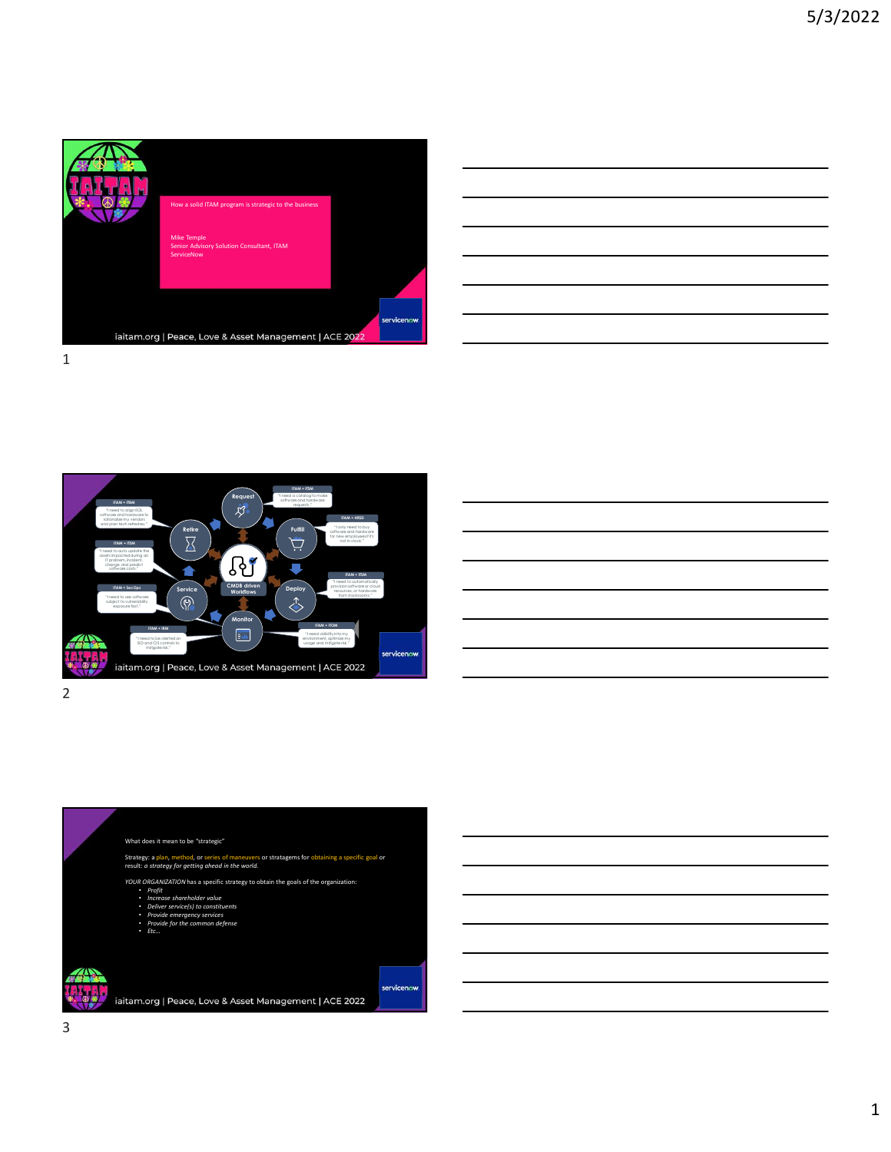

| <u> 1989 - Johann Barn, mars ann an t-Amhainn an t-Amhainn an t-Amhainn an t-Amhainn an t-Amhainn an t-Amhainn an</u> |  |  |
|-----------------------------------------------------------------------------------------------------------------------|--|--|
| <u> 1989 - Johann Harry Harry Harry Harry Harry Harry Harry Harry Harry Harry Harry Harry Harry Harry Harry Harry</u> |  |  |
| <u> 1989 - Andrea Andrew Maria (h. 1989).</u>                                                                         |  |  |
| <u> 1989 - Andrea Santa Andrea Andrea Andrea Andrea Andrea Andrea Andrea Andrea Andrea Andrea Andrea Andrea Andr</u>  |  |  |
| <u> 1989 - Johann Barn, amerikan bernama di sebagai bernama dan bernama di sebagai bernama di sebagai bernama di</u>  |  |  |
|                                                                                                                       |  |  |





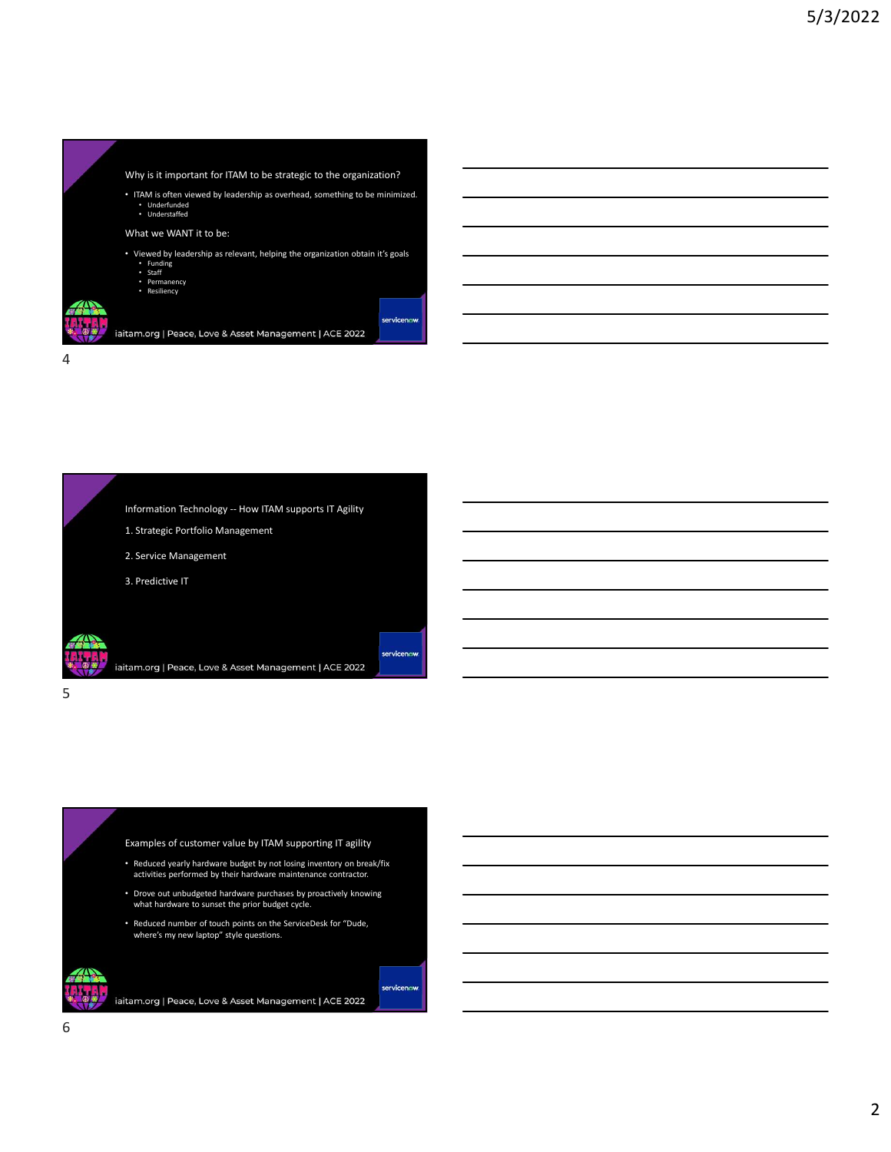





Examples of customer value by ITAM supporting IT agility

- Reduced yearly hardware budget by not losing inventory on break/fix activities performed by their hardware maintenance contractor.
- Drove out unbudgeted hardware purchases by proactively knowing what hardware to sunset the prior budget cycle.
- Reduced number of touch points on the ServiceDesk for "Dude, where's my new laptop" style questions.

servicenow.

iaitam.org | Peace, Love & Asset Management | ACE 2022

6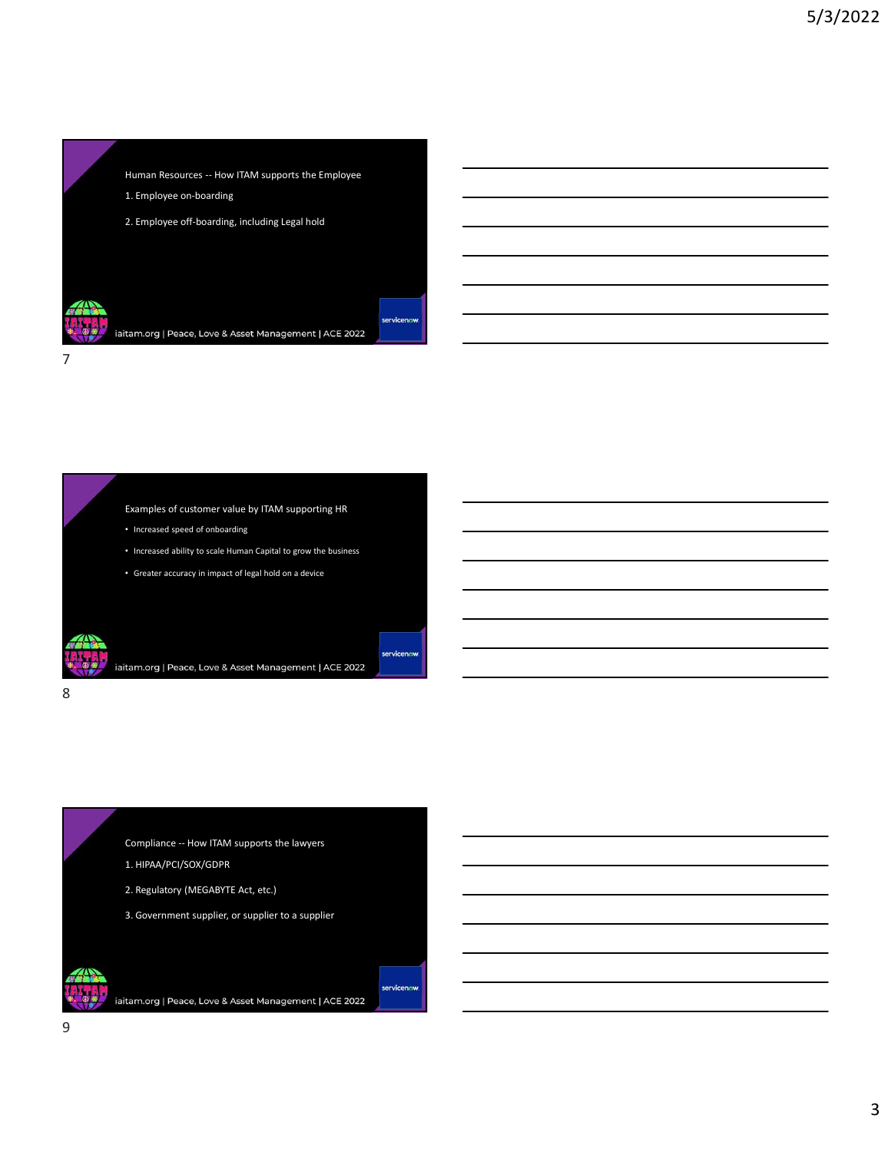

Examples of customer value by ITAM supporting HR

• Increased speed of onboarding

8 and 2010 and 2010 and 2010 and 2010 and 2010 and 2010 and 2010 and 2010 and 2010 and 2010 and 2010 and 2010

- Increased ability to scale Human Capital to grow the business
- Greater accuracy in impact of legal hold on a device

Comples of customer value by ITAM supporting HR<br>
Increased speed of onbanding<br>
Increased sublity to scale Human Capital to grow the business<br>
Coreanse accuracy in impact of legal hold on a device<br>
Increase accuracy in impa Examples of customer value by ITAM supporting HR<br>
Increased speed of onboarding<br>
Increased shillty to scale Human Capital to grow the business<br>
Increased shillty to scale Human Capital to grow the business<br>
Increased scare <sup>2</sup> Increased ability to scale Human Capital to grow the business<br>
<sup>2</sup> Greater accuracy in impact of legal hold on a device<br>
<sup>2</sup> Greater accuracy in impact of legal hold on a device<br>
2. Regulatory (MEGABYTE Act, etc.)<br>
2. Increased ability to scale Human Capital to grow the business<br>3. Greater accuracy in impact of legal hold on a device<br>3. Greater accuracy in impact of legal hold on a device<br>3. Greater to a supplier or supplier to a suppli

- 
- 
- 
-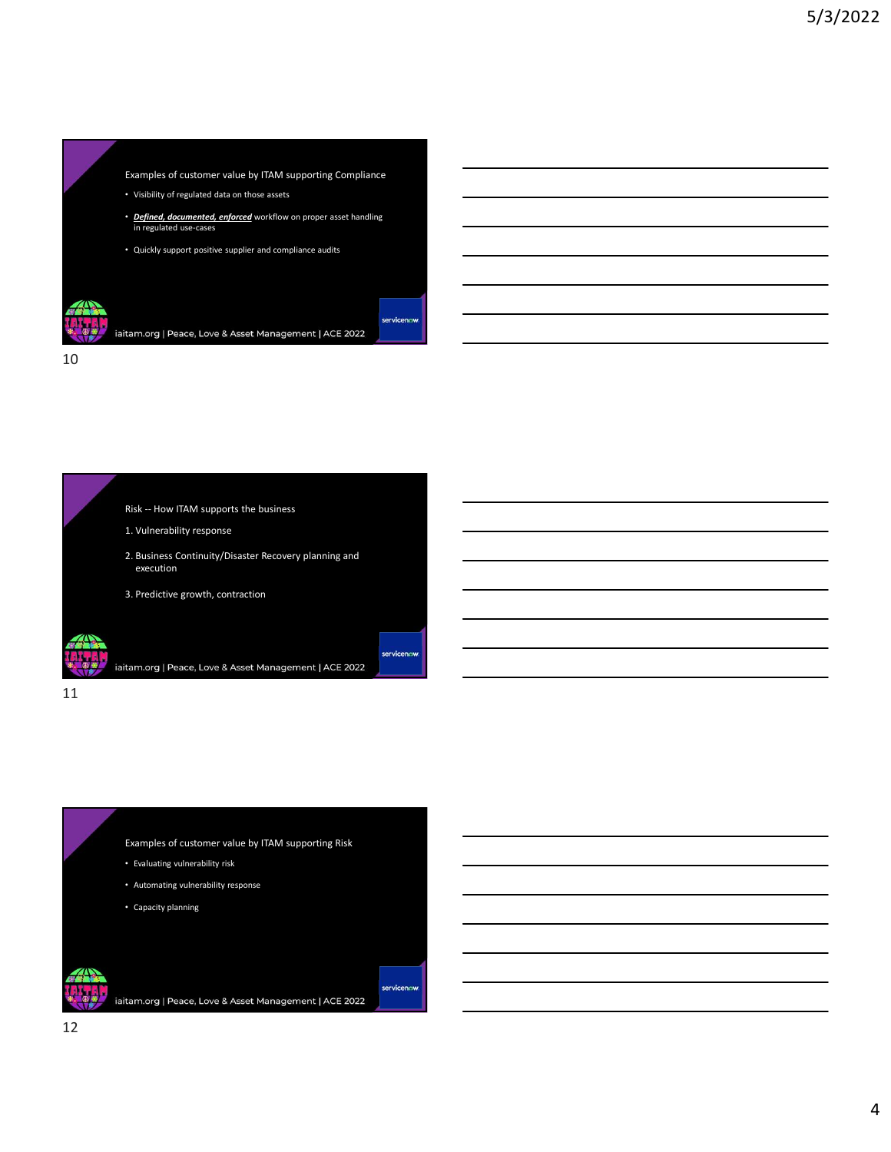



Examples of customer value by ITAM supporting Risk • Evaluating vulnerability risk

- Automating vulnerability response
- Capacity planning

iaitam.org | Peace, Love & Asset Management | ACE 2022

servicenow.

12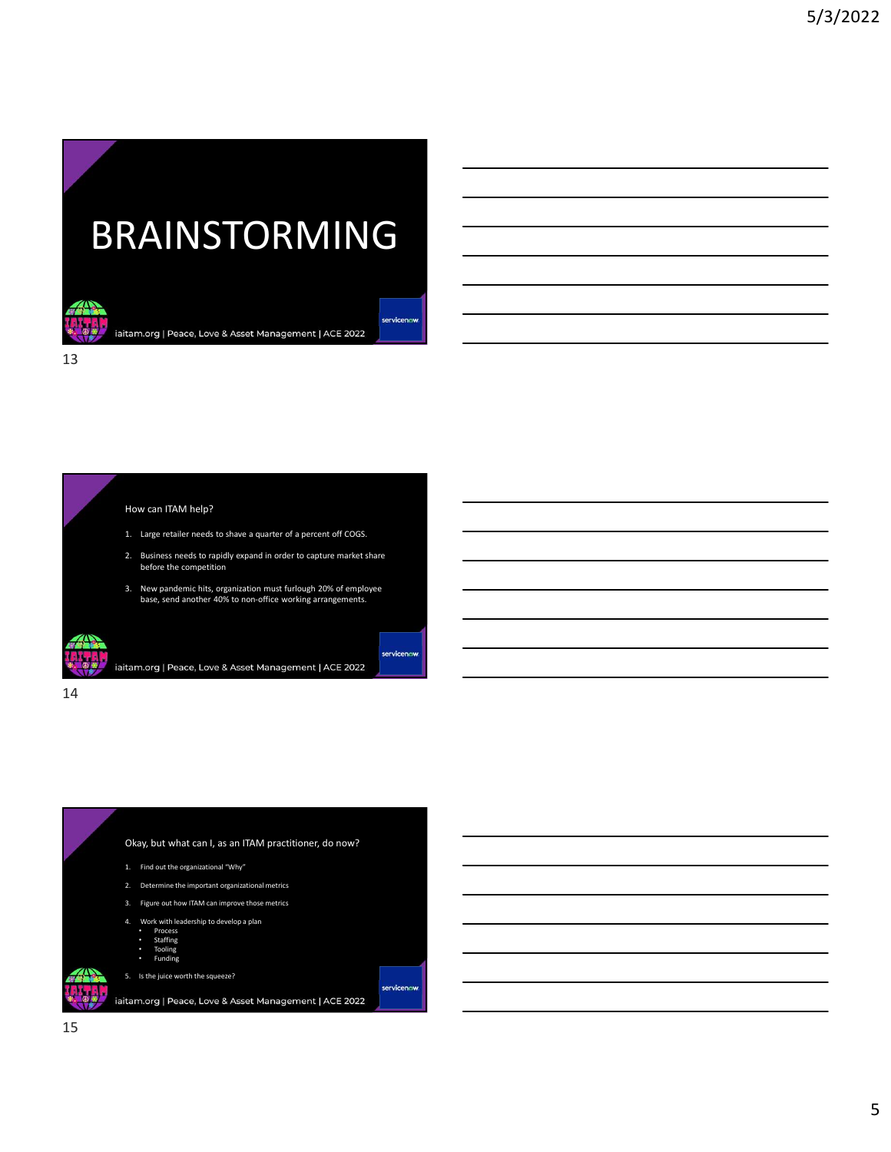## BRAINSTORMING RAINSTORMING<br>
1. Large retailer needs to shave a quarter of a percent off COES.<br>
How can ITAM help?<br>
1. Large retailer needs to shave a quarter of a percent off COES.<br>
2. Butimes meets to shave a quarter of a percent off C 2. Business needs to rapidly expanding the value of a percent of COS.<br>
The can ITAM help?<br>
2. Business needs to capture and a percent of COSS.<br>
1. Luga celestic reaction of a business and the capture market share<br>
2. Respo  $\begin{array}{|l|l|}\n\textbf{RAMISTORMMING}\n\textbf{RAMingement}|\textbf{ACE 2022}\n\textbf{MAMing current}|\textbf{ACE 2022}\n\textbf{MAMing current}|\textbf{ACE 2022}\n\textbf{MAMing current}|\textbf{ACE 2022}\n\textbf{MAMing current}|\textbf{ACE 2022}\n\textbf{MAMing current}|\textbf{ACE 2022}\n\textbf{MAMing current}|\textbf{ACE 2022}\n\textbf{MAMing current}|\textbf{ACE 2022}\n\textbf{MAMing current}|\textbf{ACE 2022$

13

## How can ITAM help?

- 
- before the competition
- 3. New pandemic hits, organization must furlough 20% of employee base, send another 40% to non-office working arrangements.

14

## Okay, but what can I, as an ITAM practitioner, do now? How can ITAM help?<br>
1. Large retailer needs to shawe a quarter of a percent off COGS.<br>
2. Business needs to rejative separation must function 2006 of 2016 of multipler<br>
3. New parademic hits, openionism must function 2006 1. Large retailer needs to draw a quarter of a percent off COS.<br>
2. Dusiness needs to rapidly expand in order to capture market share<br>
2. New pandemic hits, organization must furtough 20% of employee<br>
2. Deve, eard anothe 3. Earge teamen tersos outsete a quare of a particular UN CoSS<br>
2. Business reeds to mapplifice regard in order to capture market share<br>
2. How pandemic hits, organization must furthough 20% of employes<br>
base, send anothe 2. Business needs to rapidly expand in order to capture market share<br>
the bere the competition<br>
1. New yandemic hits, organization must furtherly arizing arrangements,<br>
then, send another 40% to non-office working arrangem tam.org | Peace, Love & Asset Management | ACE 2022<br>
Okay, but what can I, as an ITAM practitioner, do now?<br>
1. Fire out the openinational willy<br>
2. Determine the impactant openinational willy<br>
2. Determine the impactant o

- 
- 
- 
- Process<br>• Staffing<br>• Tooling
- Funding
- 
-